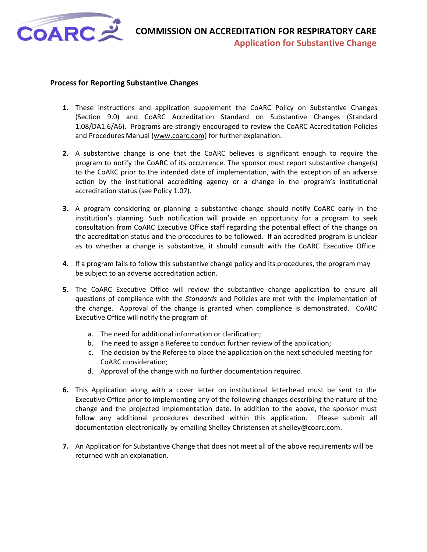

#### **Process for Reporting Substantive Changes**

- **1.** These instructions and application supplement the CoARC Policy on Substantive Changes (Section 9.0) and CoARC Accreditation Standard on Substantive Changes (Standard 1.08/DA1.6/A6). Programs are strongly encouraged to review the CoARC Accreditation Policies and Procedures Manual [\(www.coarc.com\)](http://www.coarc.com/) for further explanation.
- **2.** A substantive change is one that the CoARC believes is significant enough to require the program to notify the CoARC of its occurrence. The sponsor must report substantive change(s) to the CoARC prior to the intended date of implementation, with the exception of an adverse action by the institutional accrediting agency or a change in the program's institutional accreditation status (see Policy 1.07).
- **3.** A program considering or planning a substantive change should notify CoARC early in the institution's planning. Such notification will provide an opportunity for a program to seek consultation from CoARC Executive Office staff regarding the potential effect of the change on the accreditation status and the procedures to be followed. If an accredited program is unclear as to whether a change is substantive, it should consult with the CoARC Executive Office.
- **4.** If a program fails to follow this substantive change policy and its procedures, the program may be subject to an adverse accreditation action.
- **5.** The CoARC Executive Office will review the substantive change application to ensure all questions of compliance with the *Standards* and Policies are met with the implementation of the change. Approval of the change is granted when compliance is demonstrated. CoARC Executive Office will notify the program of:
	- a. The need for additional information or clarification;
	- b. The need to assign a Referee to conduct further review of the application;
	- c. The decision by the Referee to place the application on the next scheduled meeting for CoARC consideration;
	- d. Approval of the change with no further documentation required.
- **6.** This Application along with a cover letter on institutional letterhead must be sent to the Executive Office prior to implementing any of the following changes describing the nature of the change and the projected implementation date. In addition to the above, the sponsor must follow any additional procedures described within this application. Please submit all documentation electronically by emailing Shelley Christensen at shelley@coarc.com.
- **7.** An Application for Substantive Change that does not meet all of the above requirements will be returned with an explanation.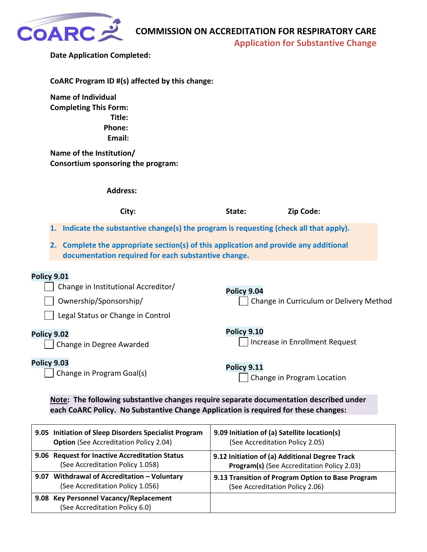

**Application for Substantive Change** 

|  |  | <b>Date Application Completed:</b> |  |  |
|--|--|------------------------------------|--|--|
|--|--|------------------------------------|--|--|

| CoARC Program ID #(s) affected by this change: |  |  |
|------------------------------------------------|--|--|
|------------------------------------------------|--|--|

**Name of Individual Completing This Form: Title: Phone: Email:** 

**Name of the Institution/ Consortium sponsoring the program:** 

| <b>Address:</b>                                                                                                                                 |             |                                         |  |
|-------------------------------------------------------------------------------------------------------------------------------------------------|-------------|-----------------------------------------|--|
| City:                                                                                                                                           | State:      | Zip Code:                               |  |
| 1. Indicate the substantive change(s) the program is requesting (check all that apply).                                                         |             |                                         |  |
| Complete the appropriate section(s) of this application and provide any additional<br>2.<br>documentation required for each substantive change. |             |                                         |  |
| <b>Policy 9.01</b><br>Change in Institutional Accreditor/<br>Ownership/Sponsorship/<br>Legal Status or Change in Control                        | Policy 9.04 | Change in Curriculum or Delivery Method |  |
| Policy 9.02<br>Change in Degree Awarded                                                                                                         | Policy 9.10 | Increase in Enrollment Request          |  |
| <b>Policy 9.03</b><br>Change in Program Goal(s)                                                                                                 | Policy 9.11 | Change in Program Location              |  |

**Note: The following substantive changes require separate documentation described under each CoARC Policy. No Substantive Change Application is required for these changes:**

| 9.05 Initiation of Sleep Disorders Specialist Program                    | 9.09 Initiation of (a) Satellite location(s)      |
|--------------------------------------------------------------------------|---------------------------------------------------|
| <b>Option</b> (See Accreditation Policy 2.04)                            | (See Accreditation Policy 2.05)                   |
| 9.06 Request for Inactive Accreditation Status                           | 9.12 Initiation of (a) Additional Degree Track    |
| (See Accreditation Policy 1.058)                                         | Program(s) (See Accreditation Policy 2.03)        |
| 9.07 Withdrawal of Accreditation - Voluntary                             | 9.13 Transition of Program Option to Base Program |
| (See Accreditation Policy 1.056)                                         | (See Accreditation Policy 2.06)                   |
| 9.08 Key Personnel Vacancy/Replacement<br>(See Accreditation Policy 6.0) |                                                   |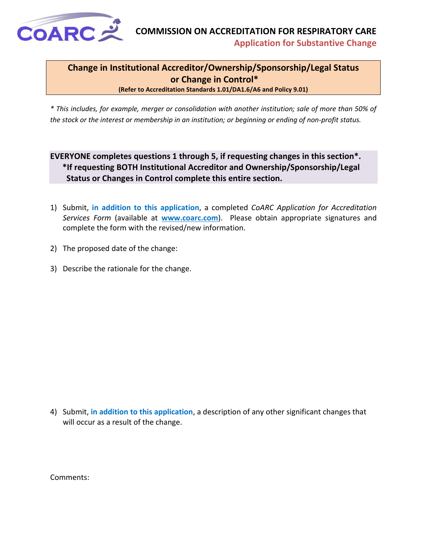<span id="page-2-0"></span>

**Change in Institutional Accreditor/Ownership/Sponsorship/Legal Status or Change in Control\***

**(Refer to Accreditation Standards 1.01/DA1.6/A6 and Policy 9.01)**

*\* This includes, for example, merger or consolidation with another institution; sale of more than 50% of the stock or the interest or membership in an institution; or beginning or ending of non-profit status.*

#### **EVERYONE completes questions 1 through 5, if requesting changes in this section\*. \*If requesting BOTH Institutional Accreditor and Ownership/Sponsorship/Legal Status or Changes in Control complete this entire section.**

- 1) Submit, **in addition to this application**, a completed *CoARC Application for Accreditation Services Form* (available at **[www.coarc.com](https://www.coarc.com/)**). Please obtain appropriate signatures and complete the form with the revised/new information.
- 2) The proposed date of the change:
- 3) Describe the rationale for the change.

4) Submit, **in addition to this application**, a description of any other significant changes that will occur as a result of the change.

Comments: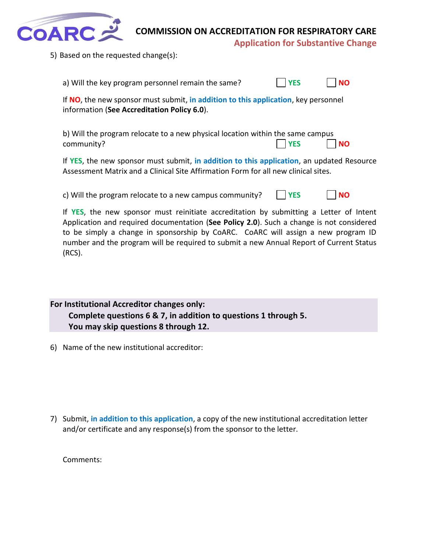

**Application for Substantive Change** 

5) Based on the requested change(s):

| a) Will the key program personnel remain the same?                                                                                                                              | <b>YES</b> | <b>NO</b> |
|---------------------------------------------------------------------------------------------------------------------------------------------------------------------------------|------------|-----------|
| If NO, the new sponsor must submit, in addition to this application, key personnel<br>information (See Accreditation Policy 6.0).                                               |            |           |
| b) Will the program relocate to a new physical location within the same campus<br>community?                                                                                    | <b>YES</b> | <b>NO</b> |
| If YES, the new sponsor must submit, in addition to this application, an updated Resource<br>Assessment Matrix and a Clinical Site Affirmation Form for all new clinical sites. |            |           |

c) Will the program relocate to a new campus community? **YES NO**

If **YES**, the new sponsor must reinitiate accreditation by submitting a Letter of Intent Application and required documentation (**See Policy 2.0**). Such a change is not considered to be simply a change in sponsorship by CoARC. CoARC will assign a new program ID number and the program will be required to submit a new Annual Report of Current Status (RCS).

**For Institutional Accreditor changes only: Complete questions 6 & 7, in addition to questions 1 through 5. You may skip questions 8 through 12.**

6) Name of the new institutional accreditor:

7) Submit, **in addition to this application**, a copy of the new institutional accreditation letter and/or certificate and any response(s) from the sponsor to the letter.

Comments: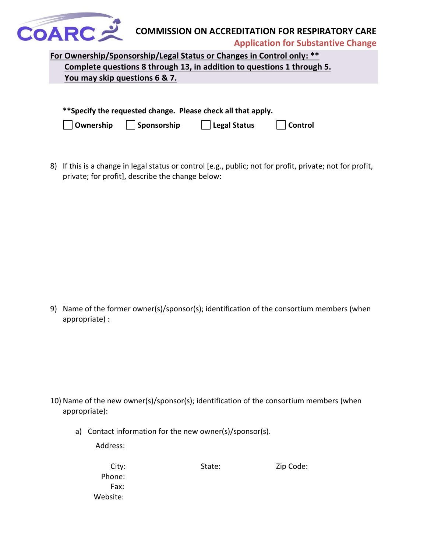

**Application for Substantive Change** 

**For Ownership/Sponsorship/Legal Status or Changes in Control only: \*\* Complete questions 8 through 13, in addition to questions 1 through 5. You may skip questions 6 & 7.**

| **Specify the requested change. Please check all that apply. |             |                      |                |  |
|--------------------------------------------------------------|-------------|----------------------|----------------|--|
| Ownership                                                    | Sponsorship | $\vert$ Legal Status | <b>Control</b> |  |

8) If this is a change in legal status or control [e.g., public; not for profit, private; not for profit, private; for profit], describe the change below:

9) Name of the former owner(s)/sponsor(s); identification of the consortium members (when appropriate) :

- 10) Name of the new owner(s)/sponsor(s); identification of the consortium members (when appropriate):
	- a) Contact information for the new owner(s)/sponsor(s).

Address:

| City:    | State: | Zip Code: |
|----------|--------|-----------|
| Phone:   |        |           |
| Fax:     |        |           |
| Website: |        |           |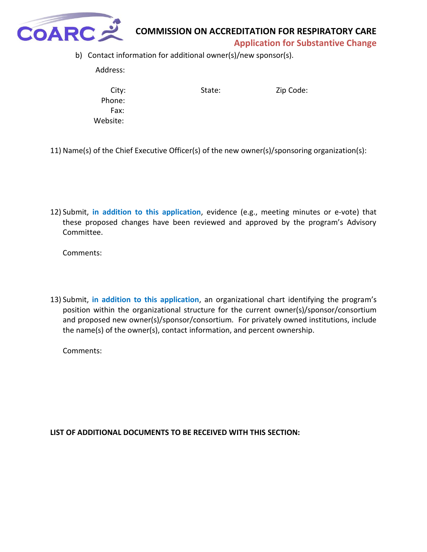

**Application for Substantive Change** 

b) Contact information for additional owner(s)/new sponsor(s).

Address:

 Phone: Fax: Website:

City: State: State: Zip Code:

- 11) Name(s) of the Chief Executive Officer(s) of the new owner(s)/sponsoring organization(s):
- 12) Submit, **in addition to this application**, evidence (e.g., meeting minutes or e-vote) that these proposed changes have been reviewed and approved by the program's Advisory Committee.

Comments:

13) Submit, **in addition to this application**, an organizational chart identifying the program's position within the organizational structure for the current owner(s)/sponsor/consortium and proposed new owner(s)/sponsor/consortium. For privately owned institutions, include the name(s) of the owner(s), contact information, and percent ownership.

Comments: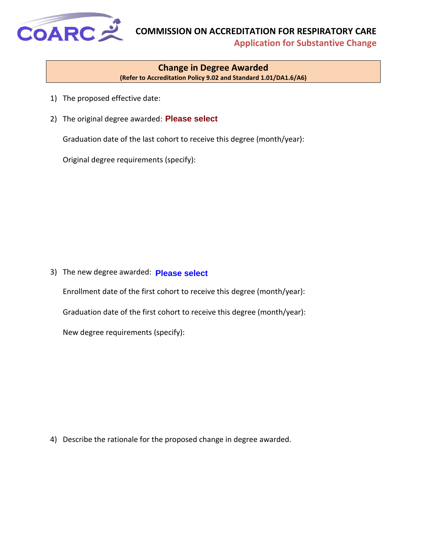<span id="page-6-0"></span>

**Application for Substantive Change** 

#### **Change in Degree Awarded (Refer to Accreditation Policy 9.02 and Standard 1.01/DA1.6/A6)**

- 1) The proposed effective date:
- 2) The original degree awarded: **Please select**

Graduation date of the last cohort to receive this degree (month/year):

Original degree requirements (specify):

3) The new degree awarded: **Please select**

Enrollment date of the first cohort to receive this degree (month/year): Graduation date of the first cohort to receive this degree (month/year): New degree requirements (specify):

4) Describe the rationale for the proposed change in degree awarded.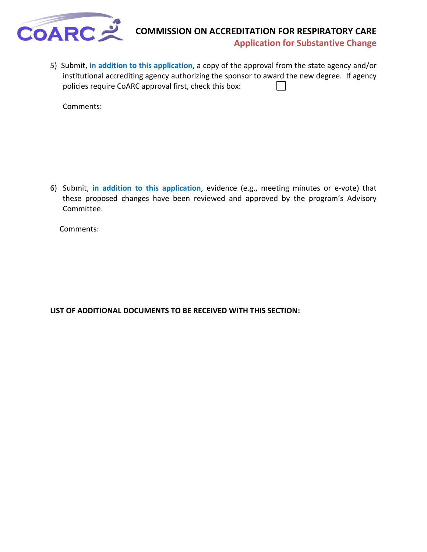

**Application for Substantive Change** 

5) Submit, **in addition to this application**, a copy of the approval from the state agency and/or institutional accrediting agency authorizing the sponsor to award the new degree. If agency policies require CoARC approval first, check this box:  $\mathbf{I}$ 

Comments:

6) Submit, **in addition to this application**, evidence (e.g., meeting minutes or e-vote) that these proposed changes have been reviewed and approved by the program's Advisory Committee.

Comments: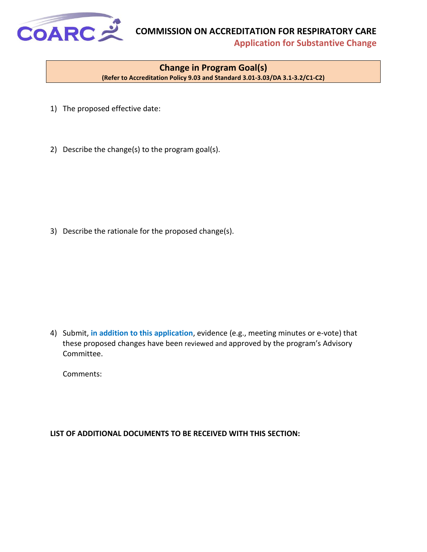<span id="page-8-0"></span>

**Application for Substantive Change** 

#### **Change in Program Goal(s)**

**(Refer to Accreditation Policy 9.03 and Standard 3.01-3.03/DA 3.1-3.2/C1-C2)**

- 1) The proposed effective date:
- 2) Describe the change(s) to the program goal(s).

3) Describe the rationale for the proposed change(s).

4) Submit, **in addition to this application**, evidence (e.g., meeting minutes or e-vote) that these proposed changes have been reviewed and approved by the program's Advisory Committee.

Comments: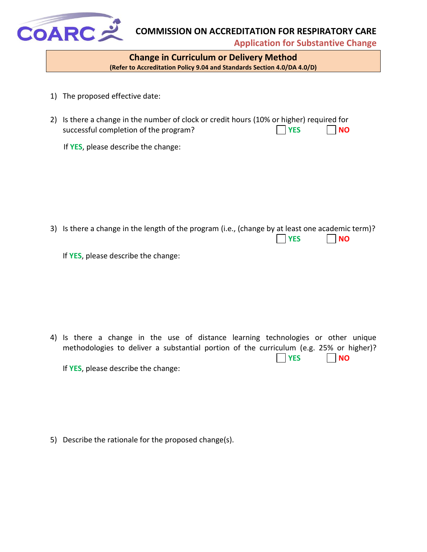<span id="page-9-0"></span>

**Application for Substantive Change** 

**Change in Curriculum or Delivery Method (Refer to Accreditation Policy 9.04 and Standards Section 4.0/DA 4.0/D)**

- 1) The proposed effective date:
- 2) Is there a change in the number of clock or credit hours (10% or higher) required for successful completion of the program? **The Indian State of the program? The Indian State of the Indian State of the Indian State of Times Indian State of Times Indian State of Times Indian State of Times Indian State of**

If **YES**, please describe the change:

3) Is there a change in the length of the program (i.e., (change by at least one academic term)? **YES NO**

If **YES**, please describe the change:

4) Is there a change in the use of distance learning technologies or other unique methodologies to deliver a substantial portion of the curriculum (e.g. 25% or higher)? **YES NO** If **YES**, please describe the change:

5) Describe the rationale for the proposed change(s).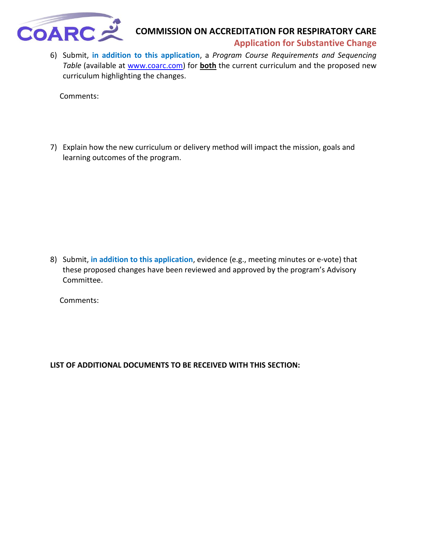

#### **Application for Substantive Change**

6) Submit, **in addition to this application**, a *Program Course Requirements and Sequencing Table* (available at [www.coarc.com\)](http://www.coarc.com/) for **both** the current curriculum and the proposed new curriculum highlighting the changes.

Comments:

7) Explain how the new curriculum or delivery method will impact the mission, goals and learning outcomes of the program.

8) Submit, **in addition to this application**, evidence (e.g., meeting minutes or e-vote) that these proposed changes have been reviewed and approved by the program's Advisory Committee.

Comments: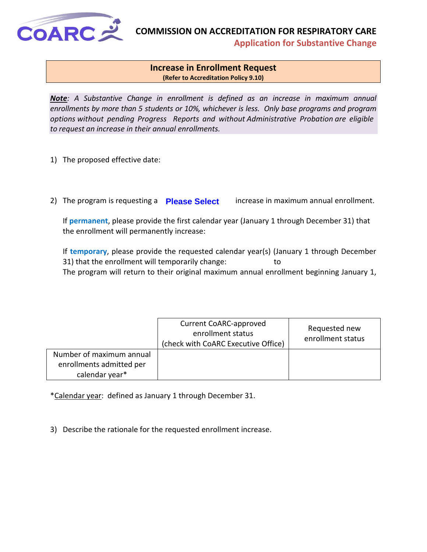<span id="page-11-0"></span>

**Application for Substantive Change** 

#### **Increase in Enrollment Request (Refer to Accreditation Policy 9.10)**

*Note: A Substantive Change in enrollment is defined as an increase in maximum annual enrollments by more than 5 students or 10%, whichever is less. Only base programs and program options without pending Progress Reports and without Administrative Probation are eligible to request an increase in their annual enrollments.* 

- 1) The proposed effective date:
- 2) The program is requesting a **Please Select** increase in maximum annual enrollment.

If **permanent**, please provide the first calendar year (January 1 through December 31) that the enrollment will permanently increase:

If **temporary**, please provide the requested calendar year(s) (January 1 through December 31) that the enrollment will temporarily change: to The program will return to their original maximum annual enrollment beginning January 1,

|                          | <b>Current CoARC-approved</b><br>enrollment status<br>(check with CoARC Executive Office) | Requested new<br>enrollment status |
|--------------------------|-------------------------------------------------------------------------------------------|------------------------------------|
| Number of maximum annual |                                                                                           |                                    |
| enrollments admitted per |                                                                                           |                                    |
| calendar year*           |                                                                                           |                                    |

\*Calendar year: defined as January 1 through December 31.

3) Describe the rationale for the requested enrollment increase.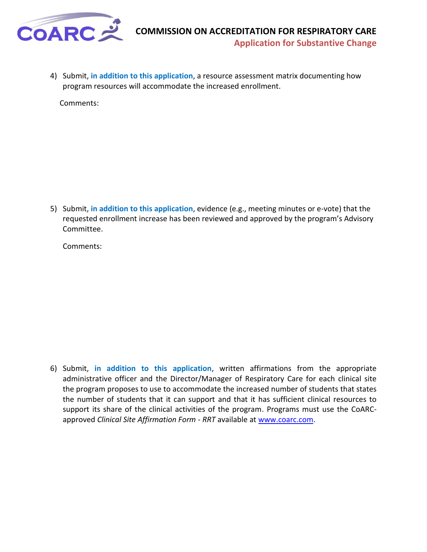

4) Submit, **in addition to this application**, a resource assessment matrix documenting how program resources will accommodate the increased enrollment.

Comments:

5) Submit, **in addition to this application**, evidence (e.g., meeting minutes or e-vote) that the requested enrollment increase has been reviewed and approved by the program's Advisory Committee.

Comments:

6) Submit, **in addition to this application**, written affirmations from the appropriate administrative officer and the Director/Manager of Respiratory Care for each clinical site the program proposes to use to accommodate the increased number of students that states the number of students that it can support and that it has sufficient clinical resources to support its share of the clinical activities of the program. Programs must use the CoARCapproved *Clinical Site Affirmation Form - RRT* available at [www.coarc.com.](http://www.coarc.com/)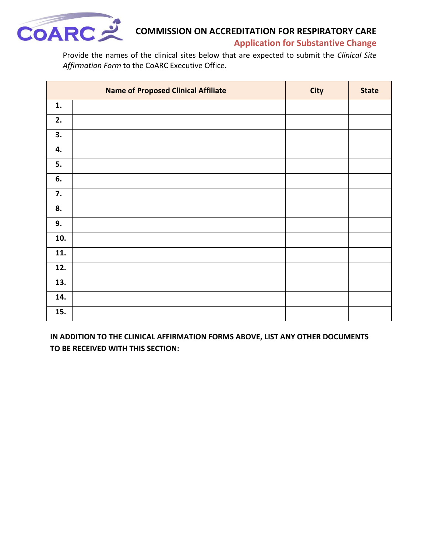

**Application for Substantive Change** 

Provide the names of the clinical sites below that are expected to submit the *Clinical Site Affirmation Form* to the CoARC Executive Office.

|     | <b>Name of Proposed Clinical Affiliate</b> | <b>City</b> | <b>State</b> |
|-----|--------------------------------------------|-------------|--------------|
| 1.  |                                            |             |              |
| 2.  |                                            |             |              |
| 3.  |                                            |             |              |
| 4.  |                                            |             |              |
| 5.  |                                            |             |              |
| 6.  |                                            |             |              |
| 7.  |                                            |             |              |
| 8.  |                                            |             |              |
| 9.  |                                            |             |              |
| 10. |                                            |             |              |
| 11. |                                            |             |              |
| 12. |                                            |             |              |
| 13. |                                            |             |              |
| 14. |                                            |             |              |
| 15. |                                            |             |              |

**IN ADDITION TO THE CLINICAL AFFIRMATION FORMS ABOVE, LIST ANY OTHER DOCUMENTS TO BE RECEIVED WITH THIS SECTION:**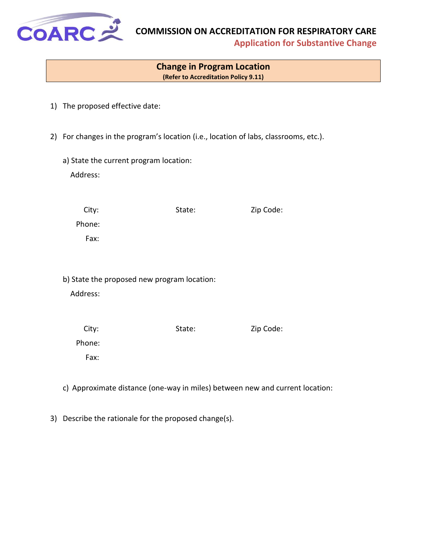<span id="page-14-0"></span>

**Application for Substantive Change** 

#### **Change in Program Location (Refer to Accreditation Policy 9.11)**

- 1) The proposed effective date:
- 2) For changes in the program's location (i.e., location of labs, classrooms, etc.).
	- a) State the current program location: Address:

| City:  | State: | Zip Code: |
|--------|--------|-----------|
| Phone: |        |           |
| Fax:   |        |           |

b) State the proposed new program location:

Address:

| City:  | State: | Zip Code: |
|--------|--------|-----------|
| Phone: |        |           |
| Fax:   |        |           |

- c) Approximate distance (one-way in miles) between new and current location:
- 3) Describe the rationale for the proposed change(s).